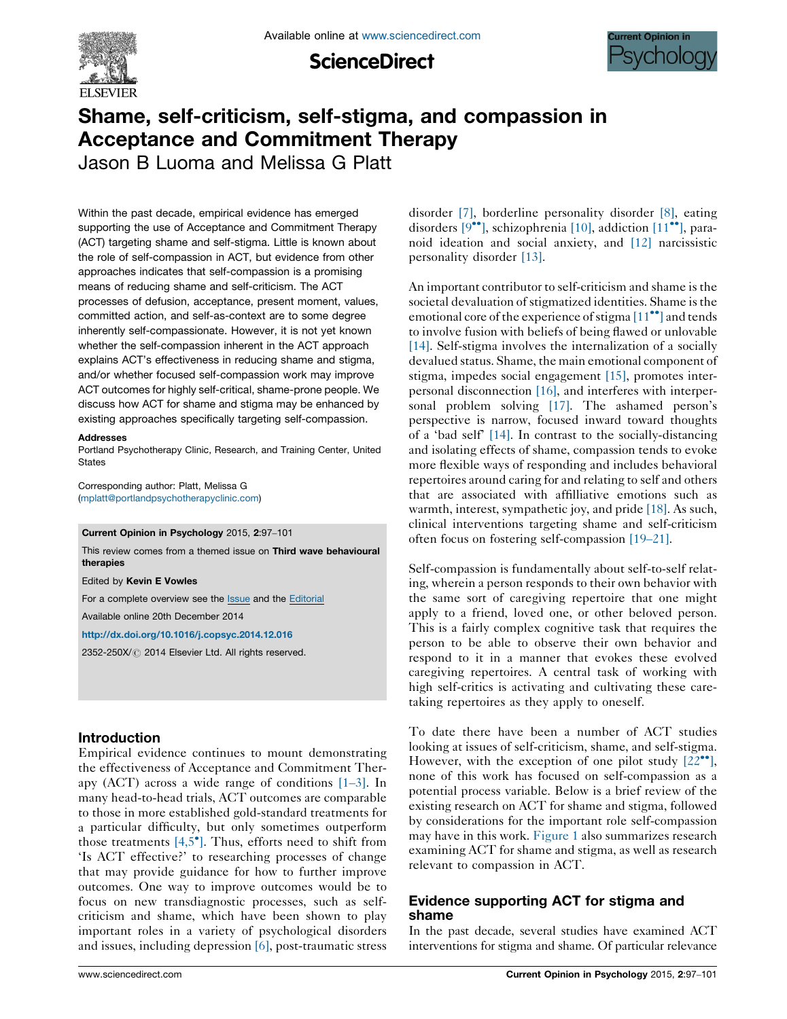

**ScienceDirect** 



# Shame, self-criticism, self-stigma, and compassion in Acceptance and Commitment Therapy

Jason B Luoma and Melissa G Platt

Within the past decade, empirical evidence has emerged supporting the use of Acceptance and Commitment Therapy (ACT) targeting shame and self-stigma. Little is known about the role of self-compassion in ACT, but evidence from other approaches indicates that self-compassion is a promising means of reducing shame and self-criticism. The ACT processes of defusion, acceptance, present moment, values, committed action, and self-as-context are to some degree inherently self-compassionate. However, it is not yet known whether the self-compassion inherent in the ACT approach explains ACT's effectiveness in reducing shame and stigma, and/or whether focused self-compassion work may improve ACT outcomes for highly self-critical, shame-prone people. We discuss how ACT for shame and stigma may be enhanced by existing approaches specifically targeting self-compassion.

#### Addresses

Portland Psychotherapy Clinic, Research, and Training Center, United **States** 

Corresponding author: Platt, Melissa G ([mplatt@portlandpsychotherapyclinic.com](mailto:mplatt@portlandpsychotherapyclinic.com))

Current Opinion in Psychology 2015, 2:97–101

This review comes from a themed issue on Third wave behavioural therapies

Edited by Kevin E Vowles

For a complete overview see the **[Issue](http://www.sciencedirect.com/science/journal/2352250X/2)** and the [Editorial](http://dx.doi.org/10.1016/j.copsyc.2015.03.008)

Available online 20th December 2014

<http://dx.doi.org/10.1016/j.copsyc.2014.12.016>

2352-250X/ 2014 Elsevier Ltd. All rights reserved.

# Introduction

Empirical evidence continues to mount demonstrating the effectiveness of Acceptance and Commitment Therapy (ACT) across a wide range of conditions [\[1](#page-3-0)–3]. In many head-to-head trials, ACT outcomes are comparable to those in more established gold-standard treatments for a particular difficulty, but only sometimes outperform those treatments  $[4,5^{\bullet}]$  $[4,5^{\bullet}]$ . Thus, efforts need to shift from 'Is ACT effective?' to researching processes of change that may provide guidance for how to further improve outcomes. One way to improve outcomes would be to focus on new transdiagnostic processes, such as selfcriticism and shame, which have been shown to play important roles in a variety of psychological disorders and issues, including depression [\[6\],](#page-3-0) post-traumatic stress disorder [\[7\],](#page-3-0) borderline personality disorder [\[8\]](#page-3-0), eating disorders  $[9^{\bullet\bullet}]$  $[9^{\bullet\bullet}]$  $[9^{\bullet\bullet}]$ , schizophrenia [\[10\],](#page-3-0) addiction  $[11^{\bullet\bullet}]$  $[11^{\bullet\bullet}]$ , paranoid ideation and social anxiety, and [\[12\]](#page-4-0) narcissistic personality disorder [\[13\]](#page-4-0).

An important contributor to self-criticism and shame is the societal devaluation of stigmatized identities. Shame is the emotional core of the experience of stigma [\[11](#page-4-0)<sup>...</sup>[\]](#page-4-0) and tends to involve fusion with beliefs of being flawed or unlovable [\[14\].](#page-4-0) Self-stigma involves the internalization of a socially devalued status. Shame, the main emotional component of stigma, impedes social engagement [\[15\],](#page-4-0) promotes interpersonal disconnection [\[16\],](#page-4-0) and interferes with interpersonal problem solving [\[17\].](#page-4-0) The ashamed person's perspective is narrow, focused inward toward thoughts of a 'bad self' [\[14\]](#page-4-0). In contrast to the socially-distancing and isolating effects of shame, compassion tends to evoke more flexible ways of responding and includes behavioral repertoires around caring for and relating to self and others that are associated with affilliative emotions such as warmth, interest, sympathetic joy, and pride [\[18\].](#page-4-0) As such, clinical interventions targeting shame and self-criticism often focus on fostering self-compassion [\[19](#page-4-0)–21].

Self-compassion is fundamentally about self-to-self relating, wherein a person responds to their own behavior with the same sort of caregiving repertoire that one might apply to a friend, loved one, or other beloved person. This is a fairly complex cognitive task that requires the person to be able to observe their own behavior and respond to it in a manner that evokes these evolved caregiving repertoires. A central task of working with high self-critics is activating and cultivating these caretaking repertoires as they apply to oneself.

To date there have been a number of ACT studies looking at issues of self-criticism, shame, and self-stigma. However, with the exception of one pilot study  $[22\bullet$  $[22\bullet$ <sup>0</sup>, none of this work has focused on self-compassion as a potential process variable. Below is a brief review of the existing research on ACT for shame and stigma, followed by considerations for the important role self-compassion may have in this work. [Figure](#page-1-0) 1 also summarizes research examining ACT for shame and stigma, as well as research relevant to compassion in ACT.

# Evidence supporting ACT for stigma and shame

In the past decade, several studies have examined ACT interventions for stigma and shame. Of particular relevance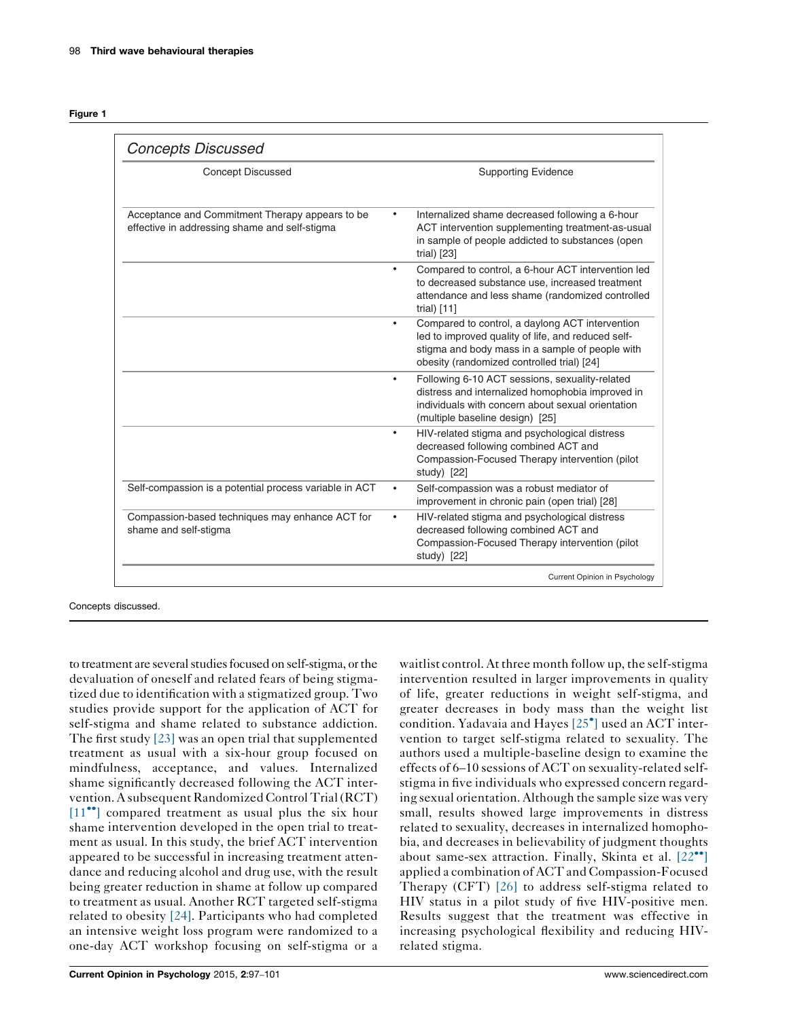<span id="page-1-0"></span>

| laur |  |
|------|--|
|      |  |

| <b>Supporting Evidence</b>                                                                                                                                                                             |
|--------------------------------------------------------------------------------------------------------------------------------------------------------------------------------------------------------|
| Internalized shame decreased following a 6-hour<br>ACT intervention supplementing treatment-as-usual<br>in sample of people addicted to substances (open<br>trial) [23]                                |
| Compared to control, a 6-hour ACT intervention led<br>٠<br>to decreased substance use, increased treatment<br>attendance and less shame (randomized controlled<br>trial) $[11]$                        |
| Compared to control, a daylong ACT intervention<br>led to improved quality of life, and reduced self-<br>stigma and body mass in a sample of people with<br>obesity (randomized controlled trial) [24] |
| Following 6-10 ACT sessions, sexuality-related<br>٠<br>distress and internalized homophobia improved in<br>individuals with concern about sexual orientation<br>(multiple baseline design) [25]        |
| HIV-related stigma and psychological distress<br>٠<br>decreased following combined ACT and<br>Compassion-Focused Therapy intervention (pilot<br>study) [22]                                            |
| Self-compassion was a robust mediator of<br>$\bullet$<br>improvement in chronic pain (open trial) [28]                                                                                                 |
| HIV-related stigma and psychological distress<br>decreased following combined ACT and<br>Compassion-Focused Therapy intervention (pilot<br>study) [22]                                                 |
|                                                                                                                                                                                                        |

Concepts discussed.

to treatment are several studies focused on self-stigma, or the devaluation of oneself and related fears of being stigmatized due to identification with a stigmatized group. Two studies provide support for the application of ACT for self-stigma and shame related to substance addiction. The first study [\[23\]](#page-4-0) was an open trial that supplemented treatment as usual with a six-hour group focused on mindfulness, acceptance, and values. Internalized shame significantly decreased following the ACT intervention.A subsequent Randomized Control Trial(RCT)  $[11$ <sup> $\bullet$ </sup> compared treatment as usual plus the six hour shame intervention developed in the open trial to treatment as usual. In this study, the brief ACT intervention appeared to be successful in increasing treatment attendance and reducing alcohol and drug use, with the result being greater reduction in shame at follow up compared to treatment as usual. Another RCT targeted self-stigma related to obesity [\[24\]](#page-4-0). Participants who had completed an intensive weight loss program were randomized to a one-day ACT workshop focusing on self-stigma or a

waitlist control. At three month follow up, the self-stigma intervention resulted in larger improvements in quality of life, greater reductions in weight self-stigma, and greater decreases in body mass than the weight list condition. Yadavaia and Hayes  $[25<sup>o</sup>]$  $[25<sup>o</sup>]$  $[25<sup>o</sup>]$  used an ACT intervention to target self-stigma related to sexuality. The authors used a multiple-baseline design to examine the effects of 6–10 sessions of ACT on sexuality-related selfstigma in five individuals who expressed concern regarding sexual orientation. Although the sample size was very small, results showed large improvements in distress related to sexuality, decreases in internalized homophobia, and decreases in believability of judgment thoughts about same-sex attraction. Finally, Skinta et al.  $[22^{\bullet\bullet}]$  $[22^{\bullet\bullet}]$  $[22^{\bullet\bullet}]$ applied a combination of ACT and Compassion-Focused Therapy (CFT) [\[26\]](#page-4-0) to address self-stigma related to HIV status in a pilot study of five HIV-positive men. Results suggest that the treatment was effective in increasing psychological flexibility and reducing HIVrelated stigma.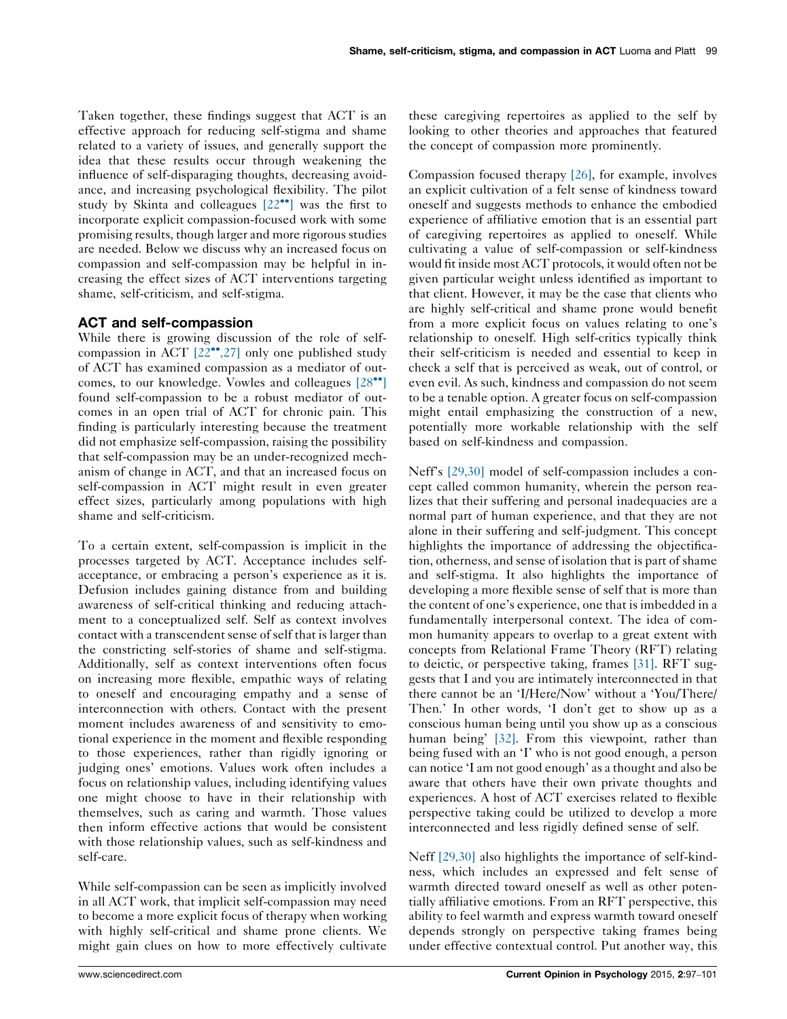Taken together, these findings suggest that ACT is an effective approach for reducing self-stigma and shame related to a variety of issues, and generally support the idea that these results occur through weakening the influence of self-disparaging thoughts, decreasing avoidance, and increasing psychological flexibility. The pilot study by Skinta and colleagues  $[22\bullet]$  $[22\bullet]$  $[22\bullet]$  was the first to incorporate explicit compassion-focused work with some promising results, though larger and more rigorous studies are needed. Below we discuss why an increased focus on compassion and self-compassion may be helpful in increasing the effect sizes of ACT interventions targeting shame, self-criticism, and self-stigma.

# ACT and self-compassion

While there is growing discussion of the role of selfcompassion in ACT  $[22^{\bullet\bullet}, 27]$  $[22^{\bullet\bullet}, 27]$  only one published study of ACT has examined compassion as a mediator of out-comes, to our knowledge. Vowles and colleagues [\[28](#page-4-0)<sup> $\bullet$ </sup>[\]](#page-4-0) found self-compassion to be a robust mediator of outcomes in an open trial of ACT for chronic pain. This finding is particularly interesting because the treatment did not emphasize self-compassion, raising the possibility that self-compassion may be an under-recognized mechanism of change in ACT, and that an increased focus on self-compassion in ACT might result in even greater effect sizes, particularly among populations with high shame and self-criticism.

To a certain extent, self-compassion is implicit in the processes targeted by ACT. Acceptance includes selfacceptance, or embracing a person's experience as it is. Defusion includes gaining distance from and building awareness of self-critical thinking and reducing attachment to a conceptualized self. Self as context involves contact with a transcendent sense of self that is larger than the constricting self-stories of shame and self-stigma. Additionally, self as context interventions often focus on increasing more flexible, empathic ways of relating to oneself and encouraging empathy and a sense of interconnection with others. Contact with the present moment includes awareness of and sensitivity to emotional experience in the moment and flexible responding to those experiences, rather than rigidly ignoring or judging ones' emotions. Values work often includes a focus on relationship values, including identifying values one might choose to have in their relationship with themselves, such as caring and warmth. Those values then inform effective actions that would be consistent with those relationship values, such as self-kindness and self-care.

While self-compassion can be seen as implicitly involved in all ACT work, that implicit self-compassion may need to become a more explicit focus of therapy when working with highly self-critical and shame prone clients. We might gain clues on how to more effectively cultivate

Compassion focused therapy [\[26\],](#page-4-0) for example, involves an explicit cultivation of a felt sense of kindness toward oneself and suggests methods to enhance the embodied experience of affiliative emotion that is an essential part of caregiving repertoires as applied to oneself. While cultivating a value of self-compassion or self-kindness would fit inside most ACT protocols, it would often not be given particular weight unless identified as important to that client. However, it may be the case that clients who are highly self-critical and shame prone would benefit from a more explicit focus on values relating to one's relationship to oneself. High self-critics typically think their self-criticism is needed and essential to keep in check a self that is perceived as weak, out of control, or even evil. As such, kindness and compassion do not seem to be a tenable option. A greater focus on self-compassion might entail emphasizing the construction of a new, potentially more workable relationship with the self based on self-kindness and compassion.

Neff's [\[29,30\]](#page-4-0) model of self-compassion includes a concept called common humanity, wherein the person realizes that their suffering and personal inadequacies are a normal part of human experience, and that they are not alone in their suffering and self-judgment. This concept highlights the importance of addressing the objectification, otherness, and sense of isolation that is part of shame and self-stigma. It also highlights the importance of developing a more flexible sense of self that is more than the content of one's experience, one that is imbedded in a fundamentally interpersonal context. The idea of common humanity appears to overlap to a great extent with concepts from Relational Frame Theory (RFT) relating to deictic, or perspective taking, frames [\[31\].](#page-4-0) RFT suggests that I and you are intimately interconnected in that there cannot be an 'I/Here/Now' without a 'You/There/ Then.' In other words, 'I don't get to show up as a conscious human being until you show up as a conscious human being' [\[32\].](#page-4-0) From this viewpoint, rather than being fused with an 'I' who is not good enough, a person can notice 'I am not good enough' as a thought and also be aware that others have their own private thoughts and experiences. A host of ACT exercises related to flexible perspective taking could be utilized to develop a more interconnected and less rigidly defined sense of self.

Neff [\[29,30\]](#page-4-0) also highlights the importance of self-kindness, which includes an expressed and felt sense of warmth directed toward oneself as well as other potentially affiliative emotions. From an RFT perspective, this ability to feel warmth and express warmth toward oneself depends strongly on perspective taking frames being under effective contextual control. Put another way, this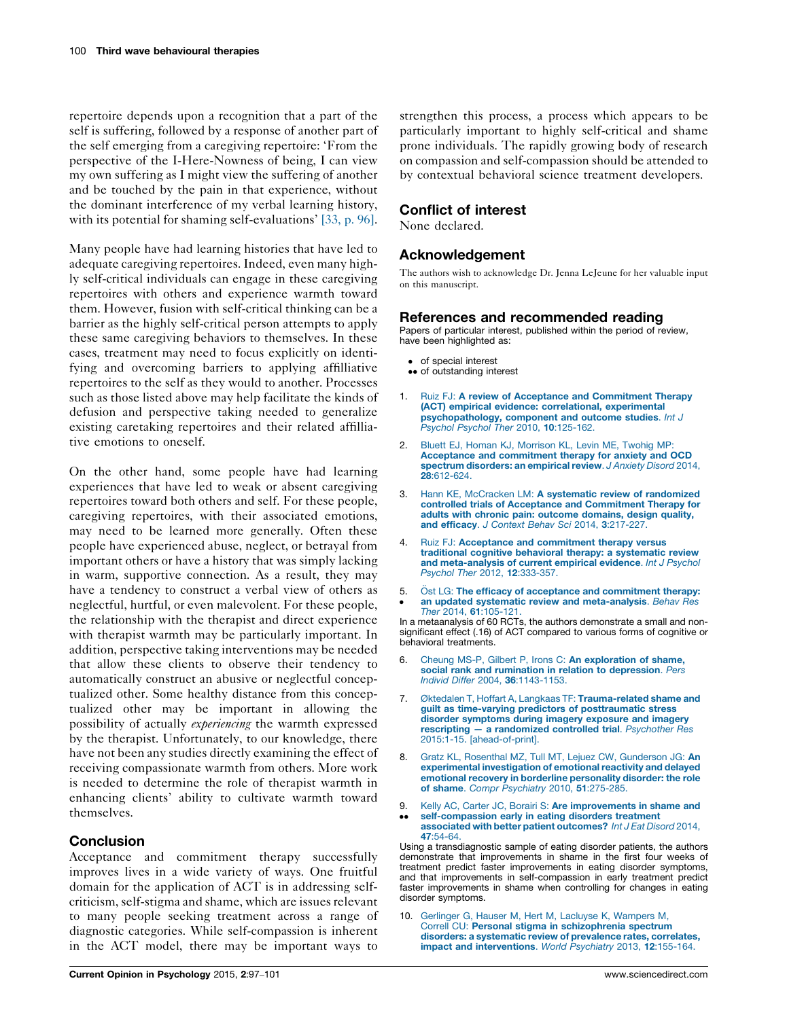<span id="page-3-0"></span>repertoire depends upon a recognition that a part of the self is suffering, followed by a response of another part of the self emerging from a caregiving repertoire: 'From the perspective of the I-Here-Nowness of being, I can view my own suffering as I might view the suffering of another and be touched by the pain in that experience, without the dominant interference of my verbal learning history, with its potential for shaming self-evaluations' [\[33,](#page-4-0) p. 96].

Many people have had learning histories that have led to adequate caregiving repertoires. Indeed, even many highly self-critical individuals can engage in these caregiving repertoires with others and experience warmth toward them. However, fusion with self-critical thinking can be a barrier as the highly self-critical person attempts to apply these same caregiving behaviors to themselves. In these cases, treatment may need to focus explicitly on identifying and overcoming barriers to applying affilliative repertoires to the self as they would to another. Processes such as those listed above may help facilitate the kinds of defusion and perspective taking needed to generalize existing caretaking repertoires and their related affilliative emotions to oneself.

On the other hand, some people have had learning experiences that have led to weak or absent caregiving repertoires toward both others and self. For these people, caregiving repertoires, with their associated emotions, may need to be learned more generally. Often these people have experienced abuse, neglect, or betrayal from important others or have a history that was simply lacking in warm, supportive connection. As a result, they may have a tendency to construct a verbal view of others as neglectful, hurtful, or even malevolent. For these people, the relationship with the therapist and direct experience with therapist warmth may be particularly important. In addition, perspective taking interventions may be needed that allow these clients to observe their tendency to automatically construct an abusive or neglectful conceptualized other. Some healthy distance from this conceptualized other may be important in allowing the possibility of actually experiencing the warmth expressed by the therapist. Unfortunately, to our knowledge, there have not been any studies directly examining the effect of receiving compassionate warmth from others. More work is needed to determine the role of therapist warmth in enhancing clients' ability to cultivate warmth toward themselves.

# Conclusion

Acceptance and commitment therapy successfully improves lives in a wide variety of ways. One fruitful domain for the application of ACT is in addressing selfcriticism, self-stigma and shame, which are issues relevant to many people seeking treatment across a range of diagnostic categories. While self-compassion is inherent in the ACT model, there may be important ways to strengthen this process, a process which appears to be particularly important to highly self-critical and shame prone individuals. The rapidly growing body of research on compassion and self-compassion should be attended to by contextual behavioral science treatment developers.

### Conflict of interest

None declared.

# Acknowledgement

The authors wish to acknowledge Dr. Jenna LeJeune for her valuable input on this manuscript.

#### References and recommended reading

Papers of particular interest, published within the period of review, have been highlighted as:

- of special interest
- •• of outstanding interest
- 1. Ruiz FJ: A review of Acceptance and [Commitment](http://refhub.elsevier.com/S2352-250X(14)00027-X/sbref0005) Therapy (ACT) empirical evidence: [correlational,](http://refhub.elsevier.com/S2352-250X(14)00027-X/sbref0005) experimental [psychopathology,](http://refhub.elsevier.com/S2352-250X(14)00027-X/sbref0005) component and outcome studies. Int J Psychol Psychol Ther 2010, 10[:125-162.](http://refhub.elsevier.com/S2352-250X(14)00027-X/sbref0005)
- 2. Bluett EJ, Homan KJ, [Morrison](http://refhub.elsevier.com/S2352-250X(14)00027-X/sbref0010) KL, Levin ME, Twohig MP: Acceptance and [commitment](http://refhub.elsevier.com/S2352-250X(14)00027-X/sbref0010) therapy for anxiety and OCD spectrum [disorders:](http://refhub.elsevier.com/S2352-250X(14)00027-X/sbref0010) an empirical review. J Anxiety Disord 2014, 28[:612-624.](http://refhub.elsevier.com/S2352-250X(14)00027-X/sbref0010)
- 3. Hann KE, McCracken LM: A systematic review of [randomized](http://refhub.elsevier.com/S2352-250X(14)00027-X/sbref0015) controlled trials of Acceptance and [Commitment](http://refhub.elsevier.com/S2352-250X(14)00027-X/sbref0015) Therapy for adults with chronic pain: outcome [domains,](http://refhub.elsevier.com/S2352-250X(14)00027-X/sbref0015) design quality, and efficacy. J Context Behav Sci 2014, 3[:217-227.](http://refhub.elsevier.com/S2352-250X(14)00027-X/sbref0015)
- Ruiz FJ: Acceptance and [commitment](http://refhub.elsevier.com/S2352-250X(14)00027-X/sbref0020) therapy versus traditional cognitive behavioral therapy: a [systematic](http://refhub.elsevier.com/S2352-250X(14)00027-X/sbref0020) review and [meta-analysis](http://refhub.elsevier.com/S2352-250X(14)00027-X/sbref0020) of current empirical evidence. Int J Psychol Psychol Ther 2012, 12[:333-357.](http://refhub.elsevier.com/S2352-250X(14)00027-X/sbref0020)
- 5. **.** Öst LG: The efficacy of acceptance and [commitment](http://refhub.elsevier.com/S2352-250X(14)00027-X/sbref0025) therapy: an updated systematic review and [meta-analysis](http://refhub.elsevier.com/S2352-250X(14)00027-X/sbref0025). Behav Res Ther 2014, 61[:105-121.](http://refhub.elsevier.com/S2352-250X(14)00027-X/sbref0025)

In a metaanalysis of 60 RCTs, the authors demonstrate a small and nonsignificant effect (.16) of ACT compared to various forms of cognitive or behavioral treatments.

- 6. Cheung MS-P, Gilbert P, Irons C: An [exploration](http://refhub.elsevier.com/S2352-250X(14)00027-X/sbref0030) of shame, social rank and rumination in relation to [depression](http://refhub.elsevier.com/S2352-250X(14)00027-X/sbref0030). Pers Individ Differ 2004, 36[:1143-1153.](http://refhub.elsevier.com/S2352-250X(14)00027-X/sbref0030)
- 7. Øktedalen T, Hoffart A, Langkaas TF: [Trauma-related](http://refhub.elsevier.com/S2352-250X(14)00027-X/sbref0035) shame and guilt as time-varying predictors of [posttraumatic](http://refhub.elsevier.com/S2352-250X(14)00027-X/sbref0035) stress disorder [symptoms](http://refhub.elsevier.com/S2352-250X(14)00027-X/sbref0035) during imagery exposure and imagery rescripting — a [randomized](http://refhub.elsevier.com/S2352-250X(14)00027-X/sbref0035) controlled trial. Psychother Res 2015:1-15. [\[ahead-of-print\].](http://refhub.elsevier.com/S2352-250X(14)00027-X/sbref0035)
- 8. Gratz KL, Rosenthal MZ, Tull MT, Lejuez CW, [Gunderson](http://refhub.elsevier.com/S2352-250X(14)00027-X/sbref0040) JG: An [experimental](http://refhub.elsevier.com/S2352-250X(14)00027-X/sbref0040) investigation of emotional reactivity and delayed emotional recovery in borderline [personality](http://refhub.elsevier.com/S2352-250X(14)00027-X/sbref0040) disorder: the role of shame. Compr [Psychiatry](http://refhub.elsevier.com/S2352-250X(14)00027-X/sbref0040) 2010, 51:275-285.
- 9. Kelly AC, Carter JC, Borairi S: Are [improvements](http://refhub.elsevier.com/S2352-250X(14)00027-X/sbref0045) in shame and
- <u>..</u> [self-compassion](http://refhub.elsevier.com/S2352-250X(14)00027-X/sbref0045) early in eating disorders treatment associated with better patient [outcomes?](http://refhub.elsevier.com/S2352-250X(14)00027-X/sbref0045) Int J Eat Disord 2014, 47[:54-64.](http://refhub.elsevier.com/S2352-250X(14)00027-X/sbref0045)

Using a transdiagnostic sample of eating disorder patients, the authors demonstrate that improvements in shame in the first four weeks of treatment predict faster improvements in eating disorder symptoms, and that improvements in self-compassion in early treatment predict faster improvements in shame when controlling for changes in eating disorder symptoms.

10. Gerlinger G, Hauser M, Hert M, Lacluyse K, [Wampers](http://refhub.elsevier.com/S2352-250X(14)00027-X/sbref0050) M, Correll CU: Personal stigma in [schizophrenia](http://refhub.elsevier.com/S2352-250X(14)00027-X/sbref0050) spectrum disorders: a systematic review of [prevalence](http://refhub.elsevier.com/S2352-250X(14)00027-X/sbref0050) rates, correlates, impact and [interventions](http://refhub.elsevier.com/S2352-250X(14)00027-X/sbref0050). World Psychiatry 2013, 12:155-164.